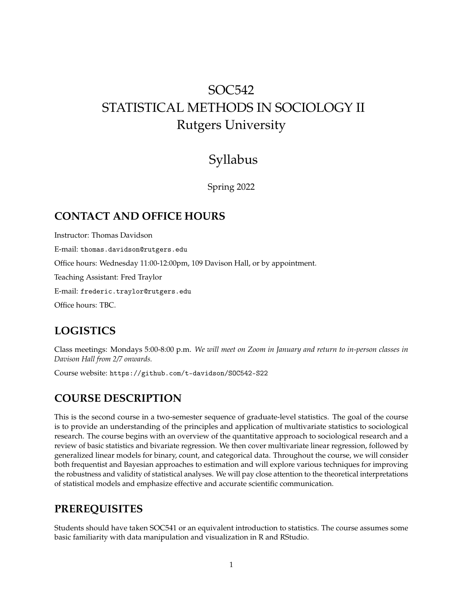# SOC542 STATISTICAL METHODS IN SOCIOLOGY II Rutgers University

## Syllabus

Spring 2022

## **CONTACT AND OFFICE HOURS**

Instructor: Thomas Davidson E-mail: thomas.davidson@rutgers.edu Office hours: Wednesday 11:00-12:00pm, 109 Davison Hall, or by appointment. Teaching Assistant: Fred Traylor

E-mail: frederic.traylor@rutgers.edu

Office hours: TBC.

## **LOGISTICS**

Class meetings: Mondays 5:00-8:00 p.m. *We will meet on Zoom in January and return to in-person classes in Davison Hall from 2/7 onwards.*

Course website: https://github.com/t-davidson/SOC542-S22

## **COURSE DESCRIPTION**

This is the second course in a two-semester sequence of graduate-level statistics. The goal of the course is to provide an understanding of the principles and application of multivariate statistics to sociological research. The course begins with an overview of the quantitative approach to sociological research and a review of basic statistics and bivariate regression. We then cover multivariate linear regression, followed by generalized linear models for binary, count, and categorical data. Throughout the course, we will consider both frequentist and Bayesian approaches to estimation and will explore various techniques for improving the robustness and validity of statistical analyses. We will pay close attention to the theoretical interpretations of statistical models and emphasize effective and accurate scientific communication.

## **PREREQUISITES**

Students should have taken SOC541 or an equivalent introduction to statistics. The course assumes some basic familiarity with data manipulation and visualization in R and RStudio.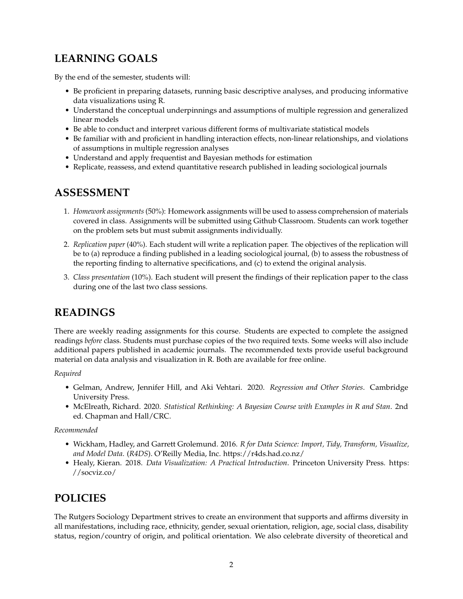## **LEARNING GOALS**

By the end of the semester, students will:

- Be proficient in preparing datasets, running basic descriptive analyses, and producing informative data visualizations using R.
- Understand the conceptual underpinnings and assumptions of multiple regression and generalized linear models
- Be able to conduct and interpret various different forms of multivariate statistical models
- Be familiar with and proficient in handling interaction effects, non-linear relationships, and violations of assumptions in multiple regression analyses
- Understand and apply frequentist and Bayesian methods for estimation
- Replicate, reassess, and extend quantitative research published in leading sociological journals

## **ASSESSMENT**

- 1. *Homework assignments* (50%): Homework assignments will be used to assess comprehension of materials covered in class. Assignments will be submitted using Github Classroom. Students can work together on the problem sets but must submit assignments individually.
- 2. *Replication paper* (40%). Each student will write a replication paper. The objectives of the replication will be to (a) reproduce a finding published in a leading sociological journal, (b) to assess the robustness of the reporting finding to alternative specifications, and (c) to extend the original analysis.
- 3. *Class presentation* (10%). Each student will present the findings of their replication paper to the class during one of the last two class sessions.

## **READINGS**

There are weekly reading assignments for this course. Students are expected to complete the assigned readings *before* class. Students must purchase copies of the two required texts. Some weeks will also include additional papers published in academic journals. The recommended texts provide useful background material on data analysis and visualization in R. Both are available for free online.

#### *Required*

- Gelman, Andrew, Jennifer Hill, and Aki Vehtari. 2020. *Regression and Other Stories*. Cambridge University Press.
- McElreath, Richard. 2020. *Statistical Rethinking: A Bayesian Course with Examples in R and Stan*. 2nd ed. Chapman and Hall/CRC.

#### *Recommended*

- Wickham, Hadley, and Garrett Grolemund. 2016. *R for Data Science: Import, Tidy, Transform, Visualize, and Model Data*. (*R4DS*). O'Reilly Media, Inc.<https://r4ds.had.co.nz/>
- Healy, Kieran. 2018. *Data Visualization: A Practical Introduction*. Princeton University Press. [https:](https://socviz.co/) [//socviz.co/](https://socviz.co/)

## **POLICIES**

The Rutgers Sociology Department strives to create an environment that supports and affirms diversity in all manifestations, including race, ethnicity, gender, sexual orientation, religion, age, social class, disability status, region/country of origin, and political orientation. We also celebrate diversity of theoretical and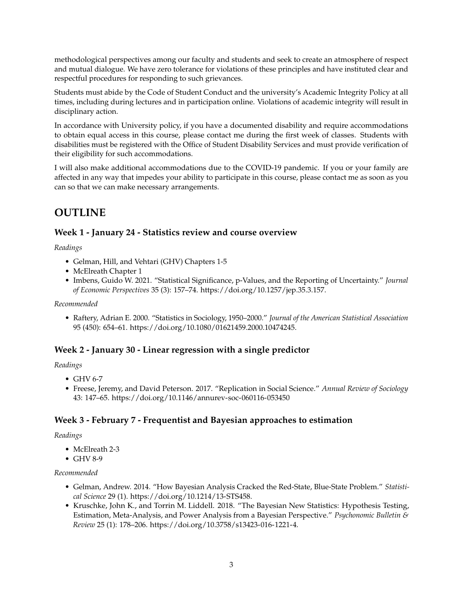methodological perspectives among our faculty and students and seek to create an atmosphere of respect and mutual dialogue. We have zero tolerance for violations of these principles and have instituted clear and respectful procedures for responding to such grievances.

Students must abide by the Code of Student Conduct and the university's Academic Integrity Policy at all times, including during lectures and in participation online. Violations of academic integrity will result in disciplinary action.

In accordance with University policy, if you have a documented disability and require accommodations to obtain equal access in this course, please contact me during the first week of classes. Students with disabilities must be registered with the Office of Student Disability Services and must provide verification of their eligibility for such accommodations.

I will also make additional accommodations due to the COVID-19 pandemic. If you or your family are affected in any way that impedes your ability to participate in this course, please contact me as soon as you can so that we can make necessary arrangements.

## **OUTLINE**

## **Week 1 - January 24 - Statistics review and course overview**

*Readings*

- Gelman, Hill, and Vehtari (GHV) Chapters 1-5
- McElreath Chapter 1
- Imbens, Guido W. 2021. "Statistical Significance, p-Values, and the Reporting of Uncertainty." *Journal of Economic Perspectives* 35 (3): 157–74. [https://doi.org/10.1257/jep.35.3.157.](https://doi.org/10.1257/jep.35.3.157)

#### *Recommended*

• Raftery, Adrian E. 2000. "Statistics in Sociology, 1950–2000." *Journal of the American Statistical Association* 95 (450): 654–61. [https://doi.org/10.1080/01621459.2000.10474245.](https://doi.org/10.1080/01621459.2000.10474245)

### **Week 2 - January 30 - Linear regression with a single predictor**

#### *Readings*

- GHV 6-7
- Freese, Jeremy, and David Peterson. 2017. "Replication in Social Science." *Annual Review of Sociology* 43: 147–65.<https://doi.org/10.1146/annurev-soc-060116-053450>

### **Week 3 - February 7 - Frequentist and Bayesian approaches to estimation**

#### *Readings*

- McElreath 2-3
- GHV 8-9

#### *Recommended*

- Gelman, Andrew. 2014. "How Bayesian Analysis Cracked the Red-State, Blue-State Problem." *Statistical Science* 29 (1). [https://doi.org/10.1214/13-STS458.](https://doi.org/10.1214/13-STS458)
- Kruschke, John K., and Torrin M. Liddell. 2018. "The Bayesian New Statistics: Hypothesis Testing, Estimation, Meta-Analysis, and Power Analysis from a Bayesian Perspective." *Psychonomic Bulletin & Review* 25 (1): 178–206. [https://doi.org/10.3758/s13423-016-1221-4.](https://doi.org/10.3758/s13423-016-1221-4)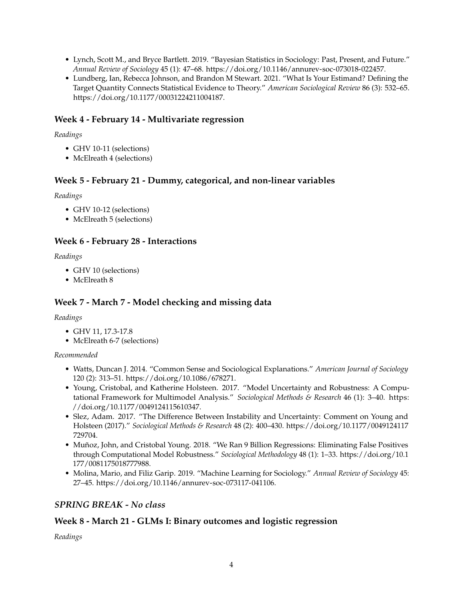- Lynch, Scott M., and Bryce Bartlett. 2019. "Bayesian Statistics in Sociology: Past, Present, and Future." *Annual Review of Sociology* 45 (1): 47–68. [https://doi.org/10.1146/annurev-soc-073018-022457.](https://doi.org/10.1146/annurev-soc-073018-022457)
- Lundberg, Ian, Rebecca Johnson, and Brandon M Stewart. 2021. "What Is Your Estimand? Defining the Target Quantity Connects Statistical Evidence to Theory." *American Sociological Review* 86 (3): 532–65. [https://doi.org/10.1177/00031224211004187.](https://doi.org/10.1177/00031224211004187)

### **Week 4 - February 14 - Multivariate regression**

#### *Readings*

- GHV 10-11 (selections)
- McElreath 4 (selections)

#### **Week 5 - February 21 - Dummy, categorical, and non-linear variables**

#### *Readings*

- GHV 10-12 (selections)
- McElreath 5 (selections)

### **Week 6 - February 28 - Interactions**

#### *Readings*

- GHV 10 (selections)
- McElreath 8

### **Week 7 - March 7 - Model checking and missing data**

#### *Readings*

- GHV 11, 17.3-17.8
- McElreath 6-7 (selections)

#### *Recommended*

- Watts, Duncan J. 2014. "Common Sense and Sociological Explanations." *American Journal of Sociology* 120 (2): 313–51. [https://doi.org/10.1086/678271.](https://doi.org/10.1086/678271)
- Young, Cristobal, and Katherine Holsteen. 2017. "Model Uncertainty and Robustness: A Computational Framework for Multimodel Analysis." *Sociological Methods & Research* 46 (1): 3–40. [https:](https://doi.org/10.1177/0049124115610347) [//doi.org/10.1177/0049124115610347.](https://doi.org/10.1177/0049124115610347)
- Slez, Adam. 2017. "The Difference Between Instability and Uncertainty: Comment on Young and Holsteen (2017)." *Sociological Methods & Research* 48 (2): 400–430. [https://doi.org/10.1177/0049124117](https://doi.org/10.1177/0049124117729704) [729704.](https://doi.org/10.1177/0049124117729704)
- Muñoz, John, and Cristobal Young. 2018. "We Ran 9 Billion Regressions: Eliminating False Positives through Computational Model Robustness." *Sociological Methodology* 48 (1): 1–33. [https://doi.org/10.1](https://doi.org/10.1177/0081175018777988) [177/0081175018777988.](https://doi.org/10.1177/0081175018777988)
- Molina, Mario, and Filiz Garip. 2019. "Machine Learning for Sociology." *Annual Review of Sociology* 45: 27–45. [https://doi.org/10.1146/annurev-soc-073117-041106.](https://doi.org/10.1146/annurev-soc-073117-041106)

### *SPRING BREAK - No class*

### **Week 8 - March 21 - GLMs I: Binary outcomes and logistic regression**

*Readings*